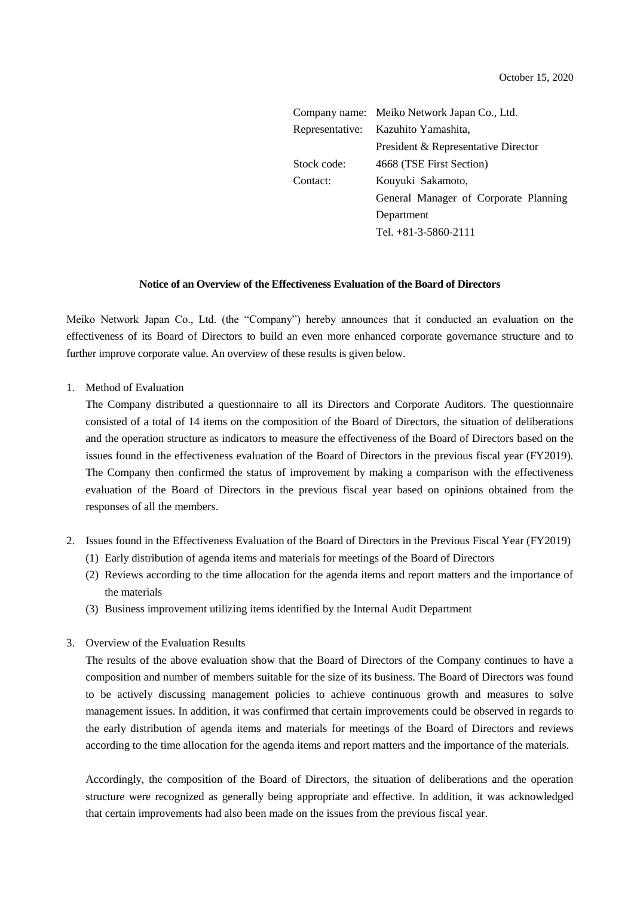|             | Company name: Meiko Network Japan Co., Ltd. |
|-------------|---------------------------------------------|
|             | Representative: Kazuhito Yamashita,         |
|             | President & Representative Director         |
| Stock code: | 4668 (TSE First Section)                    |
| Contact:    | Kouyuki Sakamoto,                           |
|             | General Manager of Corporate Planning       |
|             | Department                                  |
|             | Tel. $+81-3-5860-2111$                      |

## **Notice of an Overview of the Effectiveness Evaluation of the Board of Directors**

Meiko Network Japan Co., Ltd. (the "Company") hereby announces that it conducted an evaluation on the effectiveness of its Board of Directors to build an even more enhanced corporate governance structure and to further improve corporate value. An overview of these results is given below.

1. Method of Evaluation

The Company distributed a questionnaire to all its Directors and Corporate Auditors. The questionnaire consisted of a total of 14 items on the composition of the Board of Directors, the situation of deliberations and the operation structure as indicators to measure the effectiveness of the Board of Directors based on the issues found in the effectiveness evaluation of the Board of Directors in the previous fiscal year (FY2019). The Company then confirmed the status of improvement by making a comparison with the effectiveness evaluation of the Board of Directors in the previous fiscal year based on opinions obtained from the responses of all the members.

- 2. Issues found in the Effectiveness Evaluation of the Board of Directors in the Previous Fiscal Year (FY2019)
	- (1) Early distribution of agenda items and materials for meetings of the Board of Directors
	- (2) Reviews according to the time allocation for the agenda items and report matters and the importance of the materials
	- (3) Business improvement utilizing items identified by the Internal Audit Department

## 3. Overview of the Evaluation Results

The results of the above evaluation show that the Board of Directors of the Company continues to have a composition and number of members suitable for the size of its business. The Board of Directors was found to be actively discussing management policies to achieve continuous growth and measures to solve management issues. In addition, it was confirmed that certain improvements could be observed in regards to the early distribution of agenda items and materials for meetings of the Board of Directors and reviews according to the time allocation for the agenda items and report matters and the importance of the materials.

Accordingly, the composition of the Board of Directors, the situation of deliberations and the operation structure were recognized as generally being appropriate and effective. In addition, it was acknowledged that certain improvements had also been made on the issues from the previous fiscal year.